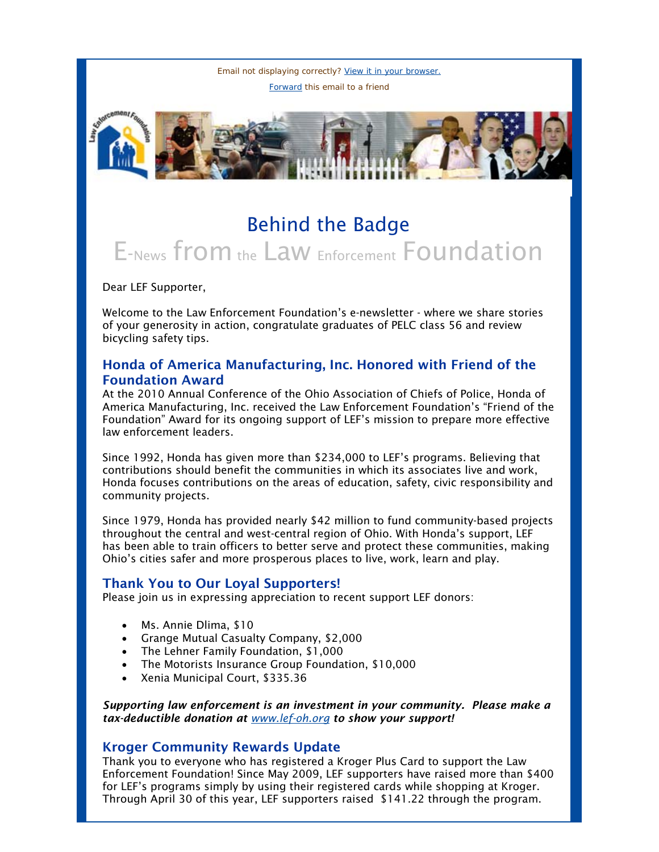Email not displaying correctly? [View it in your browser.](http://us1.campaign-archive.com/?u=cae15d65024df1c29f350ea33&id=f21176f8d5&e=fc37550647) [Forward](http://us1.forward-to-friend.com/forward?u=cae15d65024df1c29f350ea33&id=f21176f8d5&e=fc37550647) this email to a friend



# Behind the Badge E-News from the Law Enforcement Foundation

Dear LEF Supporter,

Welcome to the Law Enforcement Foundation's e-newsletter - where we share stories of your generosity in action, congratulate graduates of PELC class 56 and review bicycling safety tips.

## Honda of America Manufacturing, Inc. Honored with Friend of the Foundation Award

At the 2010 Annual Conference of the Ohio Association of Chiefs of Police, Honda of America Manufacturing, Inc. received the Law Enforcement Foundation's "Friend of the Foundation" Award for its ongoing support of LEF's mission to prepare more effective law enforcement leaders.

Since 1992, Honda has given more than \$234,000 to LEF's programs. Believing that contributions should benefit the communities in which its associates live and work, Honda focuses contributions on the areas of education, safety, civic responsibility and community projects.

Since 1979, Honda has provided nearly \$42 million to fund community-based projects throughout the central and west-central region of Ohio. With Honda's support, LEF has been able to train officers to better serve and protect these communities, making Ohio's cities safer and more prosperous places to live, work, learn and play.

### Thank You to Our Loyal Supporters!

Please join us in expressing appreciation to recent support LEF donors:

- Ms. Annie Dlima, \$10
- Grange Mutual Casualty Company, \$2,000
- The Lehner Family Foundation, \$1,000
- The Motorists Insurance Group Foundation, \$10,000
- Xenia Municipal Court, \$335.36

*Supporting law enforcement is an investment in your community. Please make a tax-deductible donation at [www.lef-oh.org](http://lef-oh.us1.list-manage.com/track/click?u=cae15d65024df1c29f350ea33&id=b9e27d6279&e=fc37550647) to show your support!* 

#### Kroger Community Rewards Update

Thank you to everyone who has registered a Kroger Plus Card to support the Law Enforcement Foundation! Since May 2009, LEF supporters have raised more than \$400 for LEF's programs simply by using their registered cards while shopping at Kroger. Through April 30 of this year, LEF supporters raised \$141.22 through the program.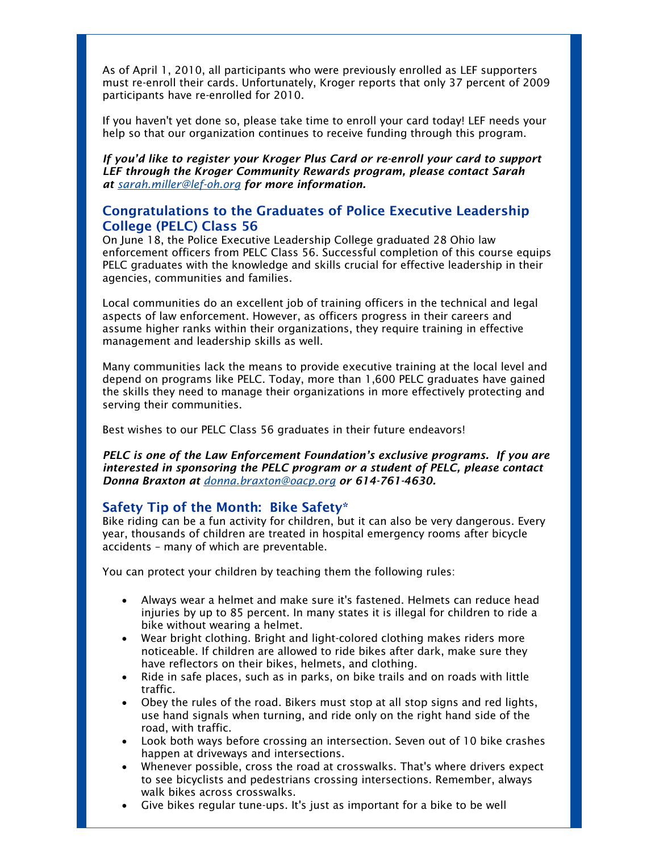As of April 1, 2010, all participants who were previously enrolled as LEF supporters must re-enroll their cards. Unfortunately, Kroger reports that only 37 percent of 2009 participants have re-enrolled for 2010.

If you haven't yet done so, please take time to enroll your card today! LEF needs your help so that our organization continues to receive funding through this program.

*If you'd like to register your Kroger Plus Card or re-enroll your card to support LEF through the Kroger Community Rewards program, please contact Sarah at [sarah.miller@lef-oh.org](mailto:sarah.miller@lef-oh.org) for more information.* 

#### Congratulations to the Graduates of Police Executive Leadership College (PELC) Class 56

On June 18, the Police Executive Leadership College graduated 28 Ohio law enforcement officers from PELC Class 56. Successful completion of this course equips PELC graduates with the knowledge and skills crucial for effective leadership in their agencies, communities and families.

Local communities do an excellent job of training officers in the technical and legal aspects of law enforcement. However, as officers progress in their careers and assume higher ranks within their organizations, they require training in effective management and leadership skills as well.

Many communities lack the means to provide executive training at the local level and depend on programs like PELC. Today, more than 1,600 PELC graduates have gained the skills they need to manage their organizations in more effectively protecting and serving their communities.

Best wishes to our PELC Class 56 graduates in their future endeavors!

*PELC is one of the Law Enforcement Foundation's exclusive programs. If you are interested in sponsoring the PELC program or a student of PELC, please contact Donna Braxton at [donna.braxton@oacp.org](mailto:donna.braxton@oacp.org) or 614-761-4630.* 

#### Safety Tip of the Month: Bike Safety\*

Bike riding can be a fun activity for children, but it can also be very dangerous. Every year, thousands of children are treated in hospital emergency rooms after bicycle accidents – many of which are preventable.

You can protect your children by teaching them the following rules:

- Always wear a helmet and make sure it's fastened. Helmets can reduce head injuries by up to 85 percent. In many states it is illegal for children to ride a bike without wearing a helmet.
- Wear bright clothing. Bright and light-colored clothing makes riders more noticeable. If children are allowed to ride bikes after dark, make sure they have reflectors on their bikes, helmets, and clothing.
- Ride in safe places, such as in parks, on bike trails and on roads with little traffic.
- Obey the rules of the road. Bikers must stop at all stop signs and red lights, use hand signals when turning, and ride only on the right hand side of the road, with traffic.
- Look both ways before crossing an intersection. Seven out of 10 bike crashes happen at driveways and intersections.
- Whenever possible, cross the road at crosswalks. That's where drivers expect to see bicyclists and pedestrians crossing intersections. Remember, always walk bikes across crosswalks.
- Give bikes regular tune-ups. It's just as important for a bike to be well